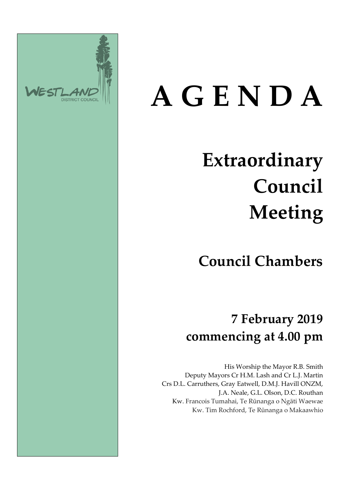

# **A G E N D A**

# **Extraordinary Council Meeting**

**Council Chambers**

## **7 February 2019 commencing at 4.00 pm**

His Worship the Mayor R.B. Smith Deputy Mayors Cr H.M. Lash and Cr L.J. Martin Crs D.L. Carruthers, Gray Eatwell, D.M.J. Havill ONZM, J.A. Neale, G.L. Olson, D.C. Routhan Kw. Francois Tumahai, Te Rūnanga o Ngāti Waewae Kw. Tim Rochford, Te Rūnanga o Makaawhio